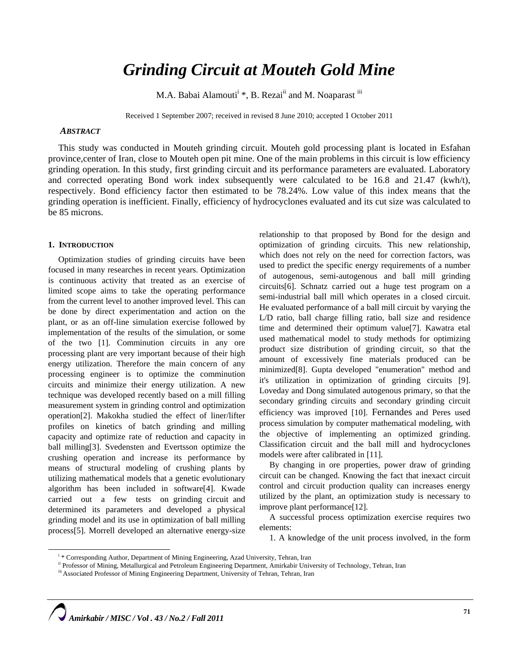# *Grinding Circuit at Mouteh Gold Mine*

M.A. Babai Alamouti<sup>i</sup> \*, B. Rezai<sup>ii</sup> and M. Noaparast <sup>iii</sup>

Received 1 September 2007; received in revised 8 June 2010; accepted 1 October 2011

# *ABSTRACT*

This study was conducted in Mouteh grinding circuit. Mouteh gold processing plant is located in Esfahan province,center of Iran, close to Mouteh open pit mine. One of the main problems in this circuit is low efficiency grinding operation. In this study, first grinding circuit and its performance parameters are evaluated. Laboratory and corrected operating Bond work index subsequently were calculated to be 16.8 and 21.47 (kwh/t), respectively. Bond efficiency factor then estimated to be 78.24%. Low value of this index means that the grinding operation is inefficient. Finally, efficiency of hydrocyclones evaluated and its cut size was calculated to be 85 microns.

### **1. INTRODUCTION**

Optimization studies of grinding circuits have been focused in many researches in recent years. Optimization is continuous activity that treated as an exercise of limited scope aims to take the operating performance from the current level to another improved level. This can be done by direct experimentation and action on the plant, or as an off-line simulation exercise followed by implementation of the results of the simulation, or some of the two [1]. Comminution circuits in any ore processing plant are very important because of their high energy utilization. Therefore the main concern of any processing engineer is to optimize the comminution circuits and minimize their energy utilization. A new technique was developed recently based on a mill filling measurement system in grinding control and optimization operation[2]. Makokha studied the effect of liner/lifter profiles on kinetics of batch grinding and milling capacity and optimize rate of reduction and capacity in ball milling[3]. Svedensten and Evertsson optimize the crushing operation and increase its performance by means of structural modeling of crushing plants by utilizing mathematical models that a genetic evolutionary algorithm has been included in software[4]. Kwade carried out a few tests on grinding circuit and determined its parameters and developed a physical grinding model and its use in optimization of ball milling process[5]. Morrell developed an alternative energy-size

relationship to that proposed by Bond for the design and optimization of grinding circuits. This new relationship, which does not rely on the need for correction factors, was used to predict the specific energy requirements of a number of autogenous, semi-autogenous and ball mill grinding circuits[6]. Schnatz carried out a huge test program on a semi-industrial ball mill which operates in a closed circuit. He evaluated performance of a ball mill circuit by varying the L/D ratio, ball charge filling ratio, ball size and residence time and determined their optimum value[7]. Kawatra etal used mathematical model to study methods for optimizing product size distribution of grinding circuit, so that the amount of excessively fine materials produced can be minimized[8]. Gupta developed "enumeration" method and it's utilization in optimization of grinding circuits [9]. Loveday and Dong simulated autogenous primary, so that the secondary grinding circuits and secondary grinding circuit efficiency was improved [10]. Fernandes and Peres used process simulation by computer mathematical modeling, with the objective of implementing an optimized grinding. Classification circuit and the ball mill and hydrocyclones models were after calibrated in [11].

By changing in ore properties, power draw of grinding circuit can be changed. Knowing the fact that inexact circuit control and circuit production quality can increases energy utilized by the plant, an optimization study is necessary to improve plant performance[12].

A successful process optimization exercise requires two elements:

1. A knowledge of the unit process involved, in the form

i

<sup>&</sup>lt;sup>i</sup>\* Corresponding Author, Department of Mining Engineering, Azad University, Tehran, Iran<br><sup>ii</sup> Professor of Mining, Metallurgical and Petroleum Engineering Department, Amirkabir University of Technology, Tehran, Iran<br><sup>iii</sup>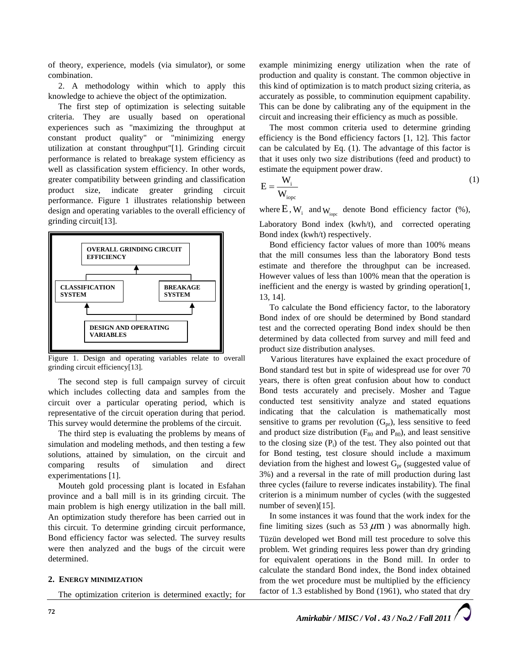of theory, experience, models (via simulator), or some combination.

2. A methodology within which to apply this knowledge to achieve the object of the optimization.

The first step of optimization is selecting suitable criteria. They are usually based on operational experiences such as "maximizing the throughput at constant product quality" or "minimizing energy utilization at constant throughput"[1]. Grinding circuit performance is related to breakage system efficiency as well as classification system efficiency. In other words, greater compatibility between grinding and classification product size, indicate greater grinding circuit performance. Figure 1 illustrates relationship between design and operating variables to the overall efficiency of grinding circuit[13].



Figure 1. Design and operating variables relate to overall grinding circuit efficiency[13].

The second step is full campaign survey of circuit which includes collecting data and samples from the circuit over a particular operating period, which is representative of the circuit operation during that period. This survey would determine the problems of the circuit.

The third step is evaluating the problems by means of simulation and modeling methods, and then testing a few solutions, attained by simulation, on the circuit and comparing results of simulation and direct experimentations [1].

Mouteh gold processing plant is located in Esfahan province and a ball mill is in its grinding circuit. The main problem is high energy utilization in the ball mill. An optimization study therefore has been carried out in this circuit. To determine grinding circuit performance, Bond efficiency factor was selected. The survey results were then analyzed and the bugs of the circuit were determined.

# **2. ENERGY MINIMIZATION**

The optimization criterion is determined exactly; for

example minimizing energy utilization when the rate of production and quality is constant. The common objective in this kind of optimization is to match product sizing criteria, as accurately as possible, to comminution equipment capability. This can be done by calibrating any of the equipment in the circuit and increasing their efficiency as much as possible.

The most common criteria used to determine grinding efficiency is the Bond efficiency factors [1, 12]. This factor can be calculated by Eq. (1). The advantage of this factor is that it uses only two size distributions (feed and product) to estimate the equipment power draw.

$$
E = \frac{W_i}{W_{\text{iope}}} \tag{1}
$$

where  $E$ ,  $W_i$  and  $W_{i_{\text{one}}}$  denote Bond efficiency factor (%), Laboratory Bond index (kwh/t), and corrected operating Bond index (kwh/t) respectively.

Bond efficiency factor values of more than 100% means that the mill consumes less than the laboratory Bond tests estimate and therefore the throughput can be increased. However values of less than 100% mean that the operation is inefficient and the energy is wasted by grinding operation[1, 13, 14].

To calculate the Bond efficiency factor, to the laboratory Bond index of ore should be determined by Bond standard test and the corrected operating Bond index should be then determined by data collected from survey and mill feed and product size distribution analyses.

Various literatures have explained the exact procedure of Bond standard test but in spite of widespread use for over 70 years, there is often great confusion about how to conduct Bond tests accurately and precisely. Mosher and Tague conducted test sensitivity analyze and stated equations indicating that the calculation is mathematically most sensitive to grams per revolution  $(G_{pr})$ , less sensitive to feed and product size distribution ( $F_{80}$  and  $P_{80}$ ), and least sensitive to the closing size  $(P_i)$  of the test. They also pointed out that for Bond testing, test closure should include a maximum deviation from the highest and lowest  $G_{pr}$  (suggested value of 3%) and a reversal in the rate of mill production during last three cycles (failure to reverse indicates instability). The final criterion is a minimum number of cycles (with the suggested number of seven)[15].

In some instances it was found that the work index for the fine limiting sizes (such as 53  $\mu$ m) was abnormally high. Tüzün developed wet Bond mill test procedure to solve this problem. Wet grinding requires less power than dry grinding for equivalent operations in the Bond mill. In order to calculate the standard Bond index, the Bond index obtained from the wet procedure must be multiplied by the efficiency factor of 1.3 established by Bond (1961), who stated that dry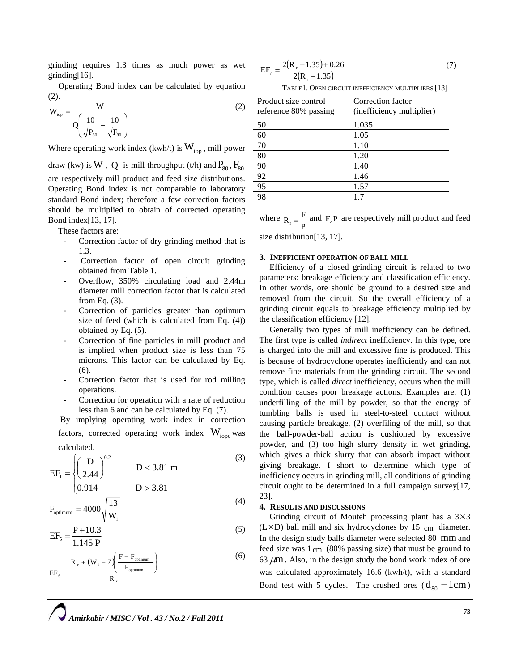grinding requires 1.3 times as much power as wet grinding[16].

Operating Bond index can be calculated by equation (2).

$$
W_{\text{top}} = \frac{W}{Q\left(\frac{10}{\sqrt{P_{80}}} - \frac{10}{\sqrt{F_{80}}}\right)}
$$
(2)

Where operating work index (kwh/t) is  $W_{\text{ion}}$ , mill power

draw (kw) is W, Q is mill throughput (t/h) and  $P_{80}$ ,  $F_{80}$ 

are respectively mill product and feed size distributions. Operating Bond index is not comparable to laboratory standard Bond index; therefore a few correction factors should be multiplied to obtain of corrected operating Bond index[13, 17].

These factors are:

- Correction factor of dry grinding method that is 1.3.
- Correction factor of open circuit grinding obtained from Table 1.
- Overflow, 350% circulating load and 2.44m diameter mill correction factor that is calculated from Eq. (3).
- Correction of particles greater than optimum size of feed (which is calculated from Eq. (4)) obtained by Eq. (5).
- Correction of fine particles in mill product and is implied when product size is less than 75 microns. This factor can be calculated by Eq. (6).
- Correction factor that is used for rod milling operations.
- Correction for operation with a rate of reduction less than 6 and can be calculated by Eq. (7).

 By implying operating work index in correction factors, corrected operating work index  $W_{\text{ionc}}$  was calculated.

$$
EF_1 = \left\{ \left( \frac{D}{2.44} \right)^{0.2} \qquad D < 3.81 \, \text{m} \right\} \tag{3}
$$

$$
0.914 D > 3.81
$$

$$
F_{\text{optimum}} = 4000 \sqrt{\frac{13}{W_i}}
$$
 (4)

$$
EF_5 = \frac{P + 10.3}{1.145 P}
$$
 (5)

$$
EF_{\delta} = \frac{R_{r} + (W_{i} - 7) \left( \frac{F - F_{\text{optimum}}}{F_{\text{optimum}}} \right)}{R_{r}}
$$
 (6)

$$
EF_7 = \frac{2(R_r - 1.35) + 0.26}{2(R_r - 1.35)}
$$
(7)

TABLE1. OPEN CIRCUIT INEFFICIENCY MULTIPLIERS [13]

| Product size control<br>reference 80% passing | Correction factor<br>(inefficiency multiplier) |
|-----------------------------------------------|------------------------------------------------|
| 50                                            | 1.035                                          |
| 60                                            | 1.05                                           |
| 70                                            | 1.10                                           |
| 80                                            | 1.20                                           |
| 90                                            | 1.40                                           |
| 92                                            | 1.46                                           |
| 95                                            | 1.57                                           |
| 98                                            | 17                                             |

where  $R_r = \frac{F}{P}$  and F, P are respectively mill product and feed

size distribution[13, 17].

# **3. INEFFICIENT OPERATION OF BALL MILL**

Efficiency of a closed grinding circuit is related to two parameters: breakage efficiency and classification efficiency. In other words, ore should be ground to a desired size and removed from the circuit. So the overall efficiency of a grinding circuit equals to breakage efficiency multiplied by the classification efficiency [12].

Generally two types of mill inefficiency can be defined. The first type is called *indirect* inefficiency. In this type, ore is charged into the mill and excessive fine is produced. This is because of hydrocyclone operates inefficiently and can not remove fine materials from the grinding circuit. The second type, which is called *direct* inefficiency, occurs when the mill condition causes poor breakage actions. Examples are: (1) underfilling of the mill by powder, so that the energy of tumbling balls is used in steel-to-steel contact without causing particle breakage, (2) overfiling of the mill, so that the ball-powder-ball action is cushioned by excessive powder, and (3) too high slurry density in wet grinding, which gives a thick slurry that can absorb impact without giving breakage. I short to determine which type of inefficiency occurs in grinding mill, all conditions of grinding circuit ought to be determined in a full campaign survey[17, 23].

# **4. RESULTS AND DISCUSSIONS**

Grinding circuit of Mouteh processing plant has a  $3\times3$  $(L \times D)$  ball mill and six hydrocyclones by 15 cm diameter. In the design study balls diameter were selected 80 mm and feed size was  $1 \text{ cm}$  (80% passing size) that must be ground to  $63 \mu m$ . Also, in the design study the bond work index of ore was calculated approximately 16.6 (kwh/t), with a standard Bond test with 5 cycles. The crushed ores ( $d_{80} = 1$ cm)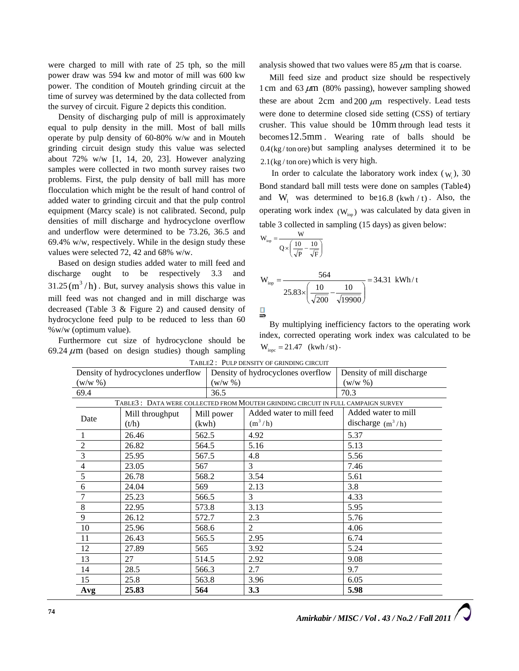were charged to mill with rate of 25 tph, so the mill power draw was 594 kw and motor of mill was 600 kw power. The condition of Mouteh grinding circuit at the time of survey was determined by the data collected from the survey of circuit. Figure 2 depicts this condition.

Density of discharging pulp of mill is approximately equal to pulp density in the mill. Most of ball mills operate by pulp density of 60-80% w/w and in Mouteh grinding circuit design study this value was selected about 72% w/w [1, 14, 20, 23]. However analyzing samples were collected in two month survey raises two problems. First, the pulp density of ball mill has more flocculation which might be the result of hand control of added water to grinding circuit and that the pulp control equipment (Marcy scale) is not calibrated. Second, pulp densities of mill discharge and hydrocyclone overflow and underflow were determined to be 73.26, 36.5 and 69.4% w/w, respectively. While in the design study these values were selected 72, 42 and 68% w/w.

Based on design studies added water to mill feed and discharge ought to be respectively 3.3 and  $31.25 \text{ (m}^3/\text{h})$ . But, survey analysis shows this value in mill feed was not changed and in mill discharge was decreased (Table 3 & Figure 2) and caused density of hydrocyclone feed pulp to be reduced to less than 60 %w/w (optimum value).

Furthermore cut size of hydrocyclone should be 69.24  $\mu$ m (based on design studies) though sampling

analysis showed that two values were  $85 \mu m$  that is coarse.

Mill feed size and product size should be respectively 1 cm and 63  $\mu$ m (80% passing), however sampling showed these are about  $2 \text{cm}$  and  $200 \mu \text{m}$  respectively. Lead tests were done to determine closed side setting (CSS) of tertiary crusher. This value should be 10mm through lead tests it becomes12.5mm . Wearing rate of balls should be  $0.4$ (kg/ton ore) but sampling analyses determined it to be  $2.1$ (kg / ton ore) which is very high.

In order to calculate the laboratory work index  $(w_i)$ , 30 Bond standard ball mill tests were done on samples (Table4) and  $W_i$  was determined to be16.8 (kwh / t). Also, the operating work index  $(W_{\text{ion}})$  was calculated by data given in table 3 collected in sampling (15 days) as given below:

$$
W_{\rm iop} = \frac{W}{Q \times \left(\frac{10}{\sqrt{P}} - \frac{10}{\sqrt{F}}\right)}
$$

$$
W_{\text{top}} = \frac{564}{25.83 \times \left(\frac{10}{\sqrt{200}} - \frac{10}{\sqrt{19900}}\right)} = 34.31 \text{ kWh}/t
$$

By multiplying inefficiency factors to the operating work index, corrected operating work index was calculated to be  $W_{\text{ionc}} = 21.47 \text{ (kwh/st)}$ .

| Density of hydrocyclones underflow |                                                                                  |            |            | Density of hydrocyclones overflow | Density of mill discharge |  |  |
|------------------------------------|----------------------------------------------------------------------------------|------------|------------|-----------------------------------|---------------------------|--|--|
| $(w/w \%)$                         |                                                                                  |            | $(w/w \%)$ |                                   | $(w/w \, % )$             |  |  |
| 69.4                               |                                                                                  |            | 36.5       |                                   | 70.3                      |  |  |
|                                    | TABLE3: DATA WERE COLLECTED FROM MOUTEH GRINDING CIRCUIT IN FULL CAMPAIGN SURVEY |            |            |                                   |                           |  |  |
|                                    | Mill throughput                                                                  | Mill power |            | Added water to mill feed          | Added water to mill       |  |  |
| Date<br>(t/h)<br>(kwh)             |                                                                                  | $(m^3/h)$  |            | discharge $(m^3/h)$               |                           |  |  |
| -1                                 | 26.46                                                                            | 562.5      |            | 4.92                              | 5.37                      |  |  |
| $\sqrt{2}$                         | 26.82                                                                            | 564.5      |            | 5.16                              | 5.13                      |  |  |
| $\overline{\mathbf{3}}$            | 25.95                                                                            | 567.5      |            | 4.8                               | 5.56                      |  |  |
| $\overline{4}$                     | 23.05                                                                            | 567        |            | 3                                 | 7.46                      |  |  |
| $\sqrt{5}$                         | 26.78                                                                            | 568.2      |            | 3.54                              | 5.61                      |  |  |
| $6\,$                              | 24.04                                                                            | 569        |            | 2.13                              | 3.8                       |  |  |
| $7\phantom{.0}$                    | 25.23                                                                            | 566.5      |            | 3                                 | 4.33                      |  |  |
| $\,8\,$                            | 22.95                                                                            | 573.8      |            | 3.13                              | 5.95                      |  |  |
| 9                                  | 26.12                                                                            | 572.7      |            | 2.3                               | 5.76                      |  |  |
| 10                                 | 25.96                                                                            | 568.6      |            | 2                                 | 4.06                      |  |  |
| 11                                 | 26.43                                                                            | 565.5      |            | 2.95                              | 6.74                      |  |  |
| 12                                 | 27.89                                                                            | 565        |            | 3.92                              | 5.24                      |  |  |
| 13                                 | 27                                                                               | 514.5      |            | 2.92                              | 9.08                      |  |  |
| 14                                 | 28.5                                                                             | 566.3      |            | 2.7                               | 9.7                       |  |  |
| 15                                 | 25.8                                                                             | 563.8      |            | 3.96                              | 6.05                      |  |  |
| Avg                                | 25.83                                                                            | 564        |            | 3.3                               | 5.98                      |  |  |

TABLE2 : PULP DENSITY OF GRINDING CIRCUIT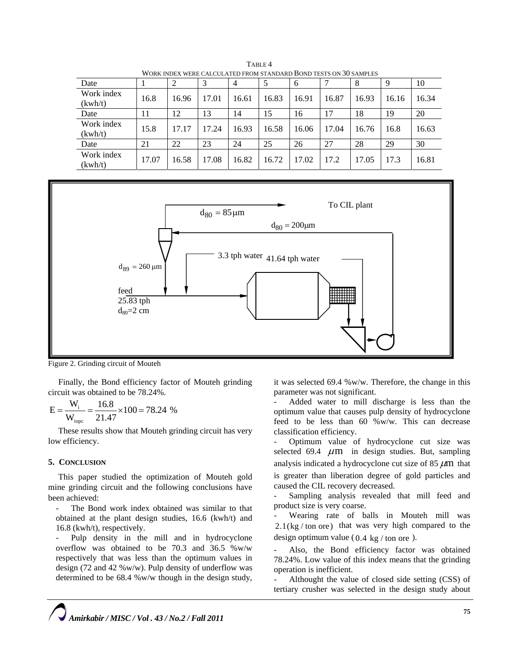| WORK INDEX WERE CALCULATED FROM STANDARD BOND TESTS ON 30 SAMPLES |       |       |       |       |       |       |       |       |       |       |
|-------------------------------------------------------------------|-------|-------|-------|-------|-------|-------|-------|-------|-------|-------|
| Date                                                              |       |       | 3     | 4     |       | 6     |       | 8     | 9     | 10    |
| Work index<br>(kwh/t)                                             | 16.8  | 16.96 | 17.01 | 16.61 | 16.83 | 16.91 | 16.87 | 16.93 | 16.16 | 16.34 |
| Date                                                              | 11    | 12    | 13    | 14    | 15    | 16    | 17    | 18    | 19    | 20    |
| Work index<br>(kwh/t)                                             | 15.8  | 17.17 | 17.24 | 16.93 | 16.58 | 16.06 | 17.04 | 16.76 | 16.8  | 16.63 |
| Date                                                              | 21    | 22    | 23    | 24    | 25    | 26    | 27    | 28    | 29    | 30    |
| Work index<br>(kwh/t)                                             | 17.07 | 16.58 | 17.08 | 16.82 | 16.72 | 17.02 | 17.2  | 17.05 | 17.3  | 16.81 |

TABLE 4 WORK INDEX WERE CALCULATED FROM STANDARD BOND TESTS ON 30 SAMPLES



Figure 2. Grinding circuit of Mouteh

Finally, the Bond efficiency factor of Mouteh grinding circuit was obtained to be 78.24%.

$$
E = \frac{W_i}{W_{\text{iope}}} = \frac{16.8}{21.47} \times 100 = 78.24 \%
$$

These results show that Mouteh grinding circuit has very low efficiency.

### **5. CONCLUSION**

This paper studied the optimization of Mouteh gold mine grinding circuit and the following conclusions have been achieved:

The Bond work index obtained was similar to that obtained at the plant design studies, 16.6 (kwh/t) and 16.8 (kwh/t), respectively.

Pulp density in the mill and in hydrocyclone overflow was obtained to be 70.3 and 36.5 %w/w respectively that was less than the optimum values in design (72 and 42 %w/w). Pulp density of underflow was determined to be 68.4 %w/w though in the design study,

it was selected 69.4 %w/w. Therefore, the change in this parameter was not significant.

- Added water to mill discharge is less than the optimum value that causes pulp density of hydrocyclone feed to be less than 60 %w/w. This can decrease classification efficiency.

Optimum value of hydrocyclone cut size was selected 69.4  $\mu$ m in design studies. But, sampling analysis indicated a hydrocyclone cut size of  $85 \mu m$  that is greater than liberation degree of gold particles and caused the CIL recovery decreased.

Sampling analysis revealed that mill feed and product size is very coarse.

- Wearing rate of balls in Mouteh mill was  $2.1$ (kg / ton ore) that was very high compared to the design optimum value (0.4 kg / ton ore ).

Also, the Bond efficiency factor was obtained 78.24%. Low value of this index means that the grinding operation is inefficient.

Althought the value of closed side setting (CSS) of tertiary crusher was selected in the design study about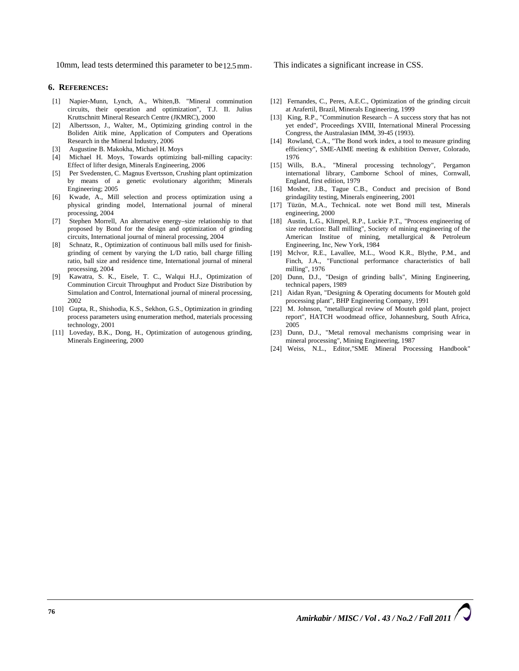10mm, lead tests determined this parameter to be<sub>12.5</sub> mm. This indicates a significant increase in CSS.

# **6. REFERENCES:**

- [1] Napier-Munn, Lynch, A., Whiten,B. "Mineral comminution circuits, their operation and optimization", T.J. II. Julius Kruttschnitt Mineral Research Centre (JKMRC), 2000
- [2] Albertsson, J., Walter, M., Optimizing grinding control in the Boliden Aitik mine, Application of Computers and Operations Research in the Mineral Industry, 2006
- [3] Augustine B. Makokha, Michael H. Moys
- [4] Michael H. Moys, Towards optimizing ball-milling capacity: Effect of lifter design, Minerals Engineering, 2006
- [5] Per Svedensten, C. Magnus Evertsson, Crushing plant optimization by means of a genetic evolutionary algorithm; Minerals Engineering; 2005
- [6] Kwade, A., Mill selection and process optimization using a physical grinding model, International journal of mineral processing, 2004
- Stephen Morrell, An alternative energy–size relationship to that proposed by Bond for the design and optimization of grinding circuits, International journal of mineral processing, 2004
- [8] Schnatz, R., Optimization of continuous ball mills used for finishgrinding of cement by varying the L/D ratio, ball charge filling ratio, ball size and residence time, International journal of mineral processing, 2004
- [9] Kawatra, S. K., Eisele, T. C., Walqui H.J., Optimization of Comminution Circuit Throughput and Product Size Distribution by Simulation and Control, International journal of mineral processing, 2002
- [10] Gupta, R., Shishodia, K.S., Sekhon, G.S., Optimization in grinding process parameters using enumeration method, materials processing technology, 2001
- [11] Loveday, B.K., Dong, H., Optimization of autogenous grinding, Minerals Engineering, 2000
- [12] Fernandes, C., Peres, A.E.C., Optimization of the grinding circuit at Arafertil, Brazil, Minerals Engineering, 1999
- [13] King, R.P., "Comminution Research A success story that has not yet ended", Proceedings XVIII, International Mineral Processing Congress, the Australasian IMM, 39-45 (1993).
- [14] Rowland, C.A., "The Bond work index, a tool to measure grinding efficiency", SME-AIME meeting & exhibition Denver, Colorado, 1976
- [15] Wills, B.A., "Mineral processing technology", Pergamon international library, Camborne School of mines, Cornwall, England, first edition, 1979
- [16] Mosher, J.B., Tague C.B., Conduct and precision of Bond grindagility testing, Minerals engineering, 2001
- [17] Tüzün, M.A., TechnicaL note wet Bond mill test, Minerals engineering, 2000
- [18] Austin, L.G., Klimpel, R.P., Luckie P.T., "Process engineering of size reduction: Ball milling", Society of mining engineering of the American Institue of mining, metallurgical & Petroleum Engineering, Inc, New York, 1984
- [19] Mclvor, R.E., Lavallee, M.L., Wood K.R., Blythe, P.M., and Finch, J.A., "Functional performance characteristics of ball milling", 1976
- [20] Dunn, D.J., "Design of grinding balls", Mining Engineering, technical papers, 1989
- [21] Aidan Ryan, "Designing & Operating documents for Mouteh gold processing plant", BHP Engineering Company, 1991
- [22] M. Johnson, "metallurgical review of Mouteh gold plant, project report", HATCH woodmead office, Johannesburg, South Africa, 2005
- [23] Dunn, D.J., "Metal removal mechanisms comprising wear in mineral processing", Mining Engineering, 1987
- [24] Weiss, N.L., Editor,"SME Mineral Processing Handbook"